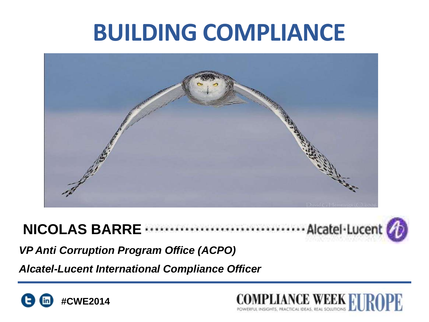# **BUILDING COMPLIANCE**



#### ... Alcatel-Lucent **NICOLAS BARRE**



*VP Anti Corruption Program Office (ACPO)*

*Alcatel-Lucent International Compliance Officer*



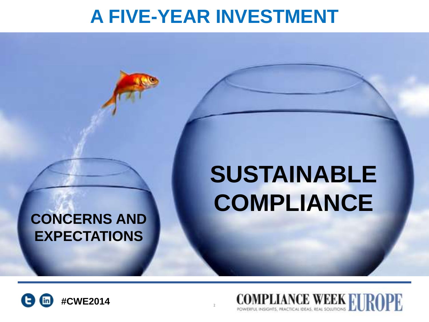## **A FIVE-YEAR INVESTMENT**

#### **CONCERNS AND EXPECTATIONS**

# **SUSTAINABLE COMPLIANCE**



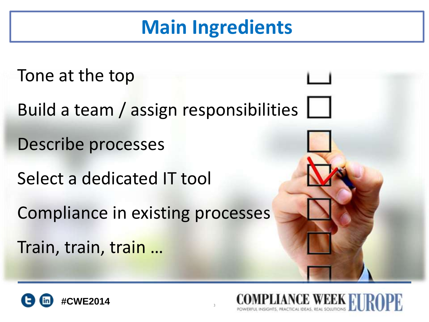# **Main Ingredients**

Tone at the top Build a team / assign responsibilities Describe processes Select a dedicated IT tool Compliance in existing processes Train, train, train …

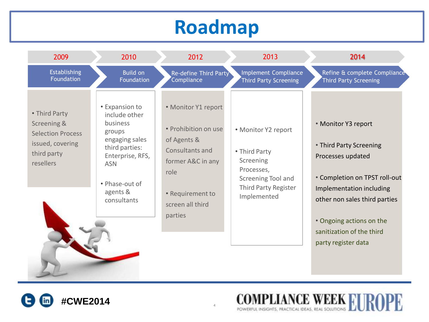# **Roadmap**

| 2009                                                                                                     | 2010                                                                                                                                                                     | 2012                                                                                                                                                          | 2013                                                                                                                         | 2014                                                                                                                                                                                          |
|----------------------------------------------------------------------------------------------------------|--------------------------------------------------------------------------------------------------------------------------------------------------------------------------|---------------------------------------------------------------------------------------------------------------------------------------------------------------|------------------------------------------------------------------------------------------------------------------------------|-----------------------------------------------------------------------------------------------------------------------------------------------------------------------------------------------|
| Establishing<br>Foundation                                                                               | <b>Build on</b><br>Foundation                                                                                                                                            | Re-define Third Party<br>Compliance                                                                                                                           | Implement Compliance<br><b>Third Party Screening</b>                                                                         | Refine & complete Compliance<br>Third Party Screening                                                                                                                                         |
| • Third Party<br>Screening &<br><b>Selection Process</b><br>issued, covering<br>third party<br>resellers | • Expansion to<br>include other<br>business<br>groups<br>engaging sales<br>third parties:<br>Enterprise, RFS,<br><b>ASN</b><br>• Phase-out of<br>agents &<br>consultants | • Monitor Y1 report<br>• Prohibition on use<br>of Agents &<br>Consultants and<br>former A&C in any<br>role<br>• Requirement to<br>screen all third<br>parties | • Monitor Y2 report<br>• Third Party<br>Screening<br>Processes,<br>Screening Tool and<br>Third Party Register<br>Implemented | • Monitor Y3 report<br>• Third Party Screening<br>Processes updated<br>• Completion on TPST roll-out<br>Implementation including<br>other non sales third parties<br>• Ongoing actions on the |
|                                                                                                          |                                                                                                                                                                          |                                                                                                                                                               |                                                                                                                              | sanitization of the third<br>party register data                                                                                                                                              |
|                                                                                                          |                                                                                                                                                                          |                                                                                                                                                               |                                                                                                                              |                                                                                                                                                                                               |



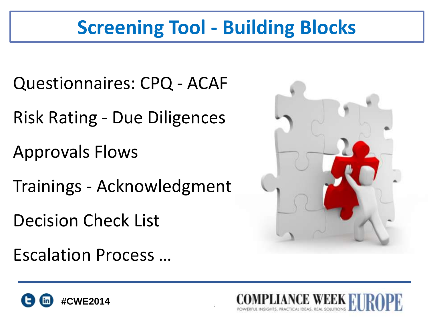# **Screening Tool - Building Blocks**

- Questionnaires: CPQ ACAF
- Risk Rating Due Diligences
- Approvals Flows
- Trainings Acknowledgment
- Decision Check List
- Escalation Process …